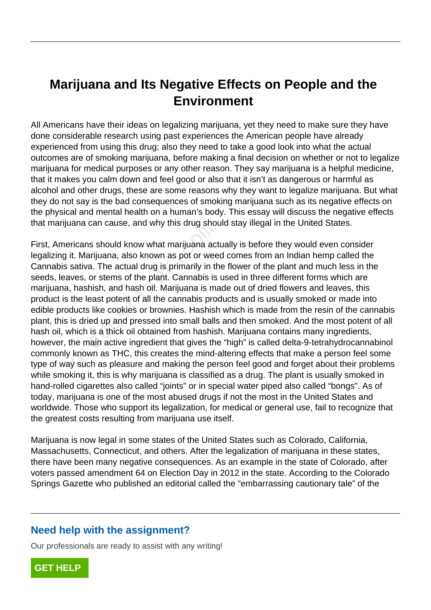# **Marijuana and Its Negative Effects on People and the Environment**

All Americans have their ideas on legalizing marijuana, yet they need to make sure they have done considerable research using past experiences the American people have already experienced from using this drug; also they need to take a good look into what the actual outcomes are of smoking marijuana, before making a final decision on whether or not to legalize marijuana for medical purposes or any other reason. They say marijuana is a helpful medicine, that it makes you calm down and feel good or also that it isn't as dangerous or harmful as alcohol and other drugs, these are some reasons why they want to legalize marijuana. But what they do not say is the bad consequences of smoking marijuana such as its negative effects on the physical and mental health on a human's body. This essay will discuss the negative effects that marijuana can cause, and why this drug should stay illegal in the United States.

First, Americans should know what marijuana actually is before they would even consider legalizing it. Marijuana, also known as pot or weed comes from an Indian hemp called the Cannabis sativa. The actual drug is primarily in the flower of the plant and much less in the seeds, leaves, or stems of the plant. Cannabis is used in three different forms which are marijuana, hashish, and hash oil. Marijuana is made out of dried flowers and leaves, this product is the least potent of all the cannabis products and is usually smoked or made into edible products like cookies or brownies. Hashish which is made from the resin of the cannabis plant, this is dried up and pressed into small balls and then smoked. And the most potent of all hash oil, which is a thick oil obtained from hashish. Marijuana contains many ingredients, however, the main active ingredient that gives the "high" is called delta-9-tetrahydrocannabinol commonly known as THC, this creates the mind-altering effects that make a person feel some type of way such as pleasure and making the person feel good and forget about their problems while smoking it, this is why marijuana is classified as a drug. The plant is usually smoked in hand-rolled cigarettes also called "joints" or in special water piped also called "bongs". As of today, marijuana is one of the most abused drugs if not the most in the United States and worldwide. Those who support its legalization, for medical or general use, fail to recognize that the greatest costs resulting from marijuana use itself. ana can cause, and why this drug shot<br>ricans should know what marijuana act<br>t. Marijuana, also known as pot or wee<br>sativa. The actual drug is primarily in th<br>ves, or stems of the plant. Cannabis is<br>hashish, and hash oil. M

Marijuana is now legal in some states of the United States such as Colorado, California, Massachusetts, Connecticut, and others. After the legalization of marijuana in these states, there have been many negative consequences. As an example in the state of Colorado, after voters passed amendment 64 on Election Day in 2012 in the state. According to the Colorado Springs Gazette who published an editorial called the "embarrassing cautionary tale" of the

## **Need help with the assignment?**

Our professionals are ready to assist with any writing!

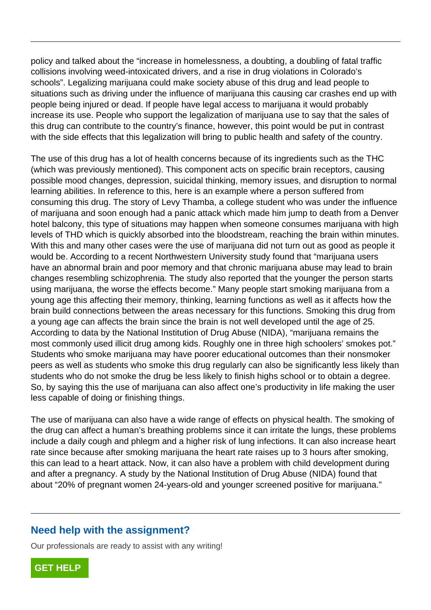policy and talked about the "increase in homelessness, a doubting, a doubling of fatal traffic collisions involving weed-intoxicated drivers, and a rise in drug violations in Colorado's schools". Legalizing marijuana could make society abuse of this drug and lead people to situations such as driving under the influence of marijuana this causing car crashes end up with people being injured or dead. If people have legal access to marijuana it would probably increase its use. People who support the legalization of marijuana use to say that the sales of this drug can contribute to the country's finance, however, this point would be put in contrast with the side effects that this legalization will bring to public health and safety of the country.

The use of this drug has a lot of health concerns because of its ingredients such as the THC (which was previously mentioned). This component acts on specific brain receptors, causing possible mood changes, depression, suicidal thinking, memory issues, and disruption to normal learning abilities. In reference to this, here is an example where a person suffered from consuming this drug. The story of Levy Thamba, a college student who was under the influence of marijuana and soon enough had a panic attack which made him jump to death from a Denver hotel balcony, this type of situations may happen when someone consumes marijuana with high levels of THD which is quickly absorbed into the bloodstream, reaching the brain within minutes. With this and many other cases were the use of marijuana did not turn out as good as people it would be. According to a recent Northwestern University study found that "marijuana users have an abnormal brain and poor memory and that chronic marijuana abuse may lead to brain changes resembling schizophrenia. The study also reported that the younger the person starts using marijuana, the worse the effects become." Many people start smoking marijuana from a young age this affecting their memory, thinking, learning functions as well as it affects how the brain build connections between the areas necessary for this functions. Smoking this drug from a young age can affects the brain since the brain is not well developed until the age of 25. According to data by the National Institution of Drug Abuse (NIDA), "marijuana remains the most commonly used illicit drug among kids. Roughly one in three high schoolers' smokes pot." Students who smoke marijuana may have poorer educational outcomes than their nonsmoker peers as well as students who smoke this drug regularly can also be significantly less likely than students who do not smoke the drug be less likely to finish highs school or to obtain a degree. So, by saying this the use of marijuana can also affect one's productivity in life making the user less capable of doing or finishing things. brity, this type of situations may happent<br>HD which is quickly absorbed into the l<br>and many other cases were the use of r<br>According to a recent Northwestern Ur<br>pnormal brain and poor memory and the<br>sembling schizophrenia.

The use of marijuana can also have a wide range of effects on physical health. The smoking of the drug can affect a human's breathing problems since it can irritate the lungs, these problems include a daily cough and phlegm and a higher risk of lung infections. It can also increase heart rate since because after smoking marijuana the heart rate raises up to 3 hours after smoking, this can lead to a heart attack. Now, it can also have a problem with child development during and after a pregnancy. A study by the National Institution of Drug Abuse (NIDA) found that about "20% of pregnant women 24-years-old and younger screened positive for marijuana."

## **Need help with the assignment?**

Our professionals are ready to assist with any writing!

**[GET HELP](https://my.gradesfixer.com/order?utm_campaign=pdf_sample)**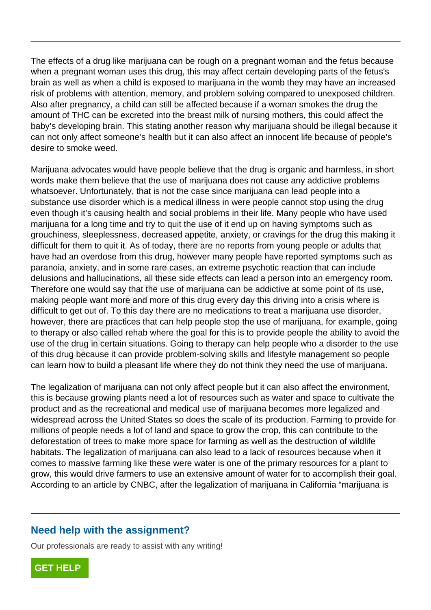The effects of a drug like marijuana can be rough on a pregnant woman and the fetus because when a pregnant woman uses this drug, this may affect certain developing parts of the fetus's brain as well as when a child is exposed to marijuana in the womb they may have an increased risk of problems with attention, memory, and problem solving compared to unexposed children. Also after pregnancy, a child can still be affected because if a woman smokes the drug the amount of THC can be excreted into the breast milk of nursing mothers, this could affect the baby's developing brain. This stating another reason why marijuana should be illegal because it can not only affect someone's health but it can also affect an innocent life because of people's desire to smoke weed.

Marijuana advocates would have people believe that the drug is organic and harmless, in short words make them believe that the use of marijuana does not cause any addictive problems whatsoever. Unfortunately, that is not the case since marijuana can lead people into a substance use disorder which is a medical illness in were people cannot stop using the drug even though it's causing health and social problems in their life. Many people who have used marijuana for a long time and try to quit the use of it end up on having symptoms such as grouchiness, sleeplessness, decreased appetite, anxiety, or cravings for the drug this making it difficult for them to quit it. As of today, there are no reports from young people or adults that have had an overdose from this drug, however many people have reported symptoms such as paranoia, anxiety, and in some rare cases, an extreme psychotic reaction that can include delusions and hallucinations, all these side effects can lead a person into an emergency room. Therefore one would say that the use of marijuana can be addictive at some point of its use, making people want more and more of this drug every day this driving into a crisis where is difficult to get out of. To this day there are no medications to treat a marijuana use disorder, however, there are practices that can help people stop the use of marijuana, for example, going to therapy or also called rehab where the goal for this is to provide people the ability to avoid the use of the drug in certain situations. Going to therapy can help people who a disorder to the use of this drug because it can provide problem-solving skills and lifestyle management so people can learn how to build a pleasant life where they do not think they need the use of marijuana. for a long time and try to quit the use c<br>ss, sleeplessness, decreased appetite,<br>them to quit it. As of today, there are r<br>an overdose from this drug, however m<br>anxiety, and in some rare cases, an ex<br>and hallucinations, al

The legalization of marijuana can not only affect people but it can also affect the environment, this is because growing plants need a lot of resources such as water and space to cultivate the product and as the recreational and medical use of marijuana becomes more legalized and widespread across the United States so does the scale of its production. Farming to provide for millions of people needs a lot of land and space to grow the crop, this can contribute to the deforestation of trees to make more space for farming as well as the destruction of wildlife habitats. The legalization of marijuana can also lead to a lack of resources because when it comes to massive farming like these were water is one of the primary resources for a plant to grow, this would drive farmers to use an extensive amount of water for to accomplish their goal. According to an article by CNBC, after the legalization of marijuana in California "marijuana is

## **Need help with the assignment?**

Our professionals are ready to assist with any writing!

**[GET HELP](https://my.gradesfixer.com/order?utm_campaign=pdf_sample)**